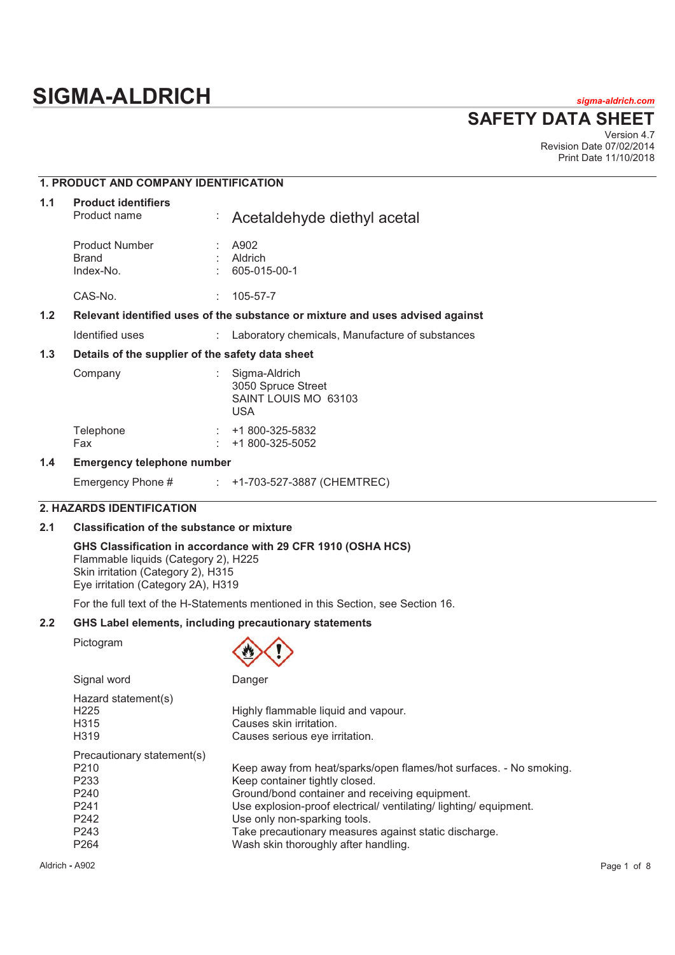# **SIGMA-ALDRICH** *sigma-aldrich.com*

**SAFETY DATA SHEET**

Version 4.7 Revision Date 07/02/2014 Print Date 11/10/2018

# **1. PRODUCT AND COMPANY IDENTIFICATION**

| 1.1 | <b>Product identifiers</b><br>Product name       | P. | Acetaldehyde diethyl acetal                                                   |
|-----|--------------------------------------------------|----|-------------------------------------------------------------------------------|
|     | <b>Product Number</b><br>Brand<br>Index-No.      |    | A902<br>Aldrich<br>605-015-00-1                                               |
|     | CAS-No.                                          | t. | 105-57-7                                                                      |
| 1.2 |                                                  |    | Relevant identified uses of the substance or mixture and uses advised against |
|     | Identified uses                                  | ÷. | Laboratory chemicals, Manufacture of substances                               |
| 1.3 | Details of the supplier of the safety data sheet |    |                                                                               |
|     | Comnany                                          |    | Sigma-Aldrich                                                                 |

| Company          | Sigma-Aldrich<br>3050 Spruce Street<br>SAINT LOUIS MO 63103<br>USA |
|------------------|--------------------------------------------------------------------|
| Telephone<br>Fax | +1 800-325-5832<br>$\div$ +1 800-325-5052                          |

# **1.4 Emergency telephone number**

| Emergency Phone # |  | +1-703-527-3887 (CHEMTREC) |  |  |
|-------------------|--|----------------------------|--|--|
|-------------------|--|----------------------------|--|--|

# **2. HAZARDS IDENTIFICATION**

# **2.1 Classification of the substance or mixture**

**GHS Classification in accordance with 29 CFR 1910 (OSHA HCS)**  Flammable liquids (Category 2), H225 Skin irritation (Category 2), H315 Eye irritation (Category 2A), H319

For the full text of the H-Statements mentioned in this Section, see Section 16.

# **2.2 GHS Label elements, including precautionary statements**

Pictogram



| Signal word                                                                            | Danger                                                                                                                                                                                                                                               |
|----------------------------------------------------------------------------------------|------------------------------------------------------------------------------------------------------------------------------------------------------------------------------------------------------------------------------------------------------|
| Hazard statement(s)<br>H <sub>225</sub><br>H <sub>315</sub><br>H <sub>3</sub> 19       | Highly flammable liquid and vapour.<br>Causes skin irritation.<br>Causes serious eye irritation.                                                                                                                                                     |
| Precautionary statement(s)<br>P <sub>210</sub><br>P <sub>233</sub><br>P <sub>240</sub> | Keep away from heat/sparks/open flames/hot surfaces. - No smoking.<br>Keep container tightly closed.                                                                                                                                                 |
| P <sub>241</sub><br>P <sub>242</sub><br>P <sub>243</sub><br>P <sub>264</sub>           | Ground/bond container and receiving equipment.<br>Use explosion-proof electrical/ ventilating/ lighting/ equipment.<br>Use only non-sparking tools.<br>Take precautionary measures against static discharge.<br>Wash skin thoroughly after handling. |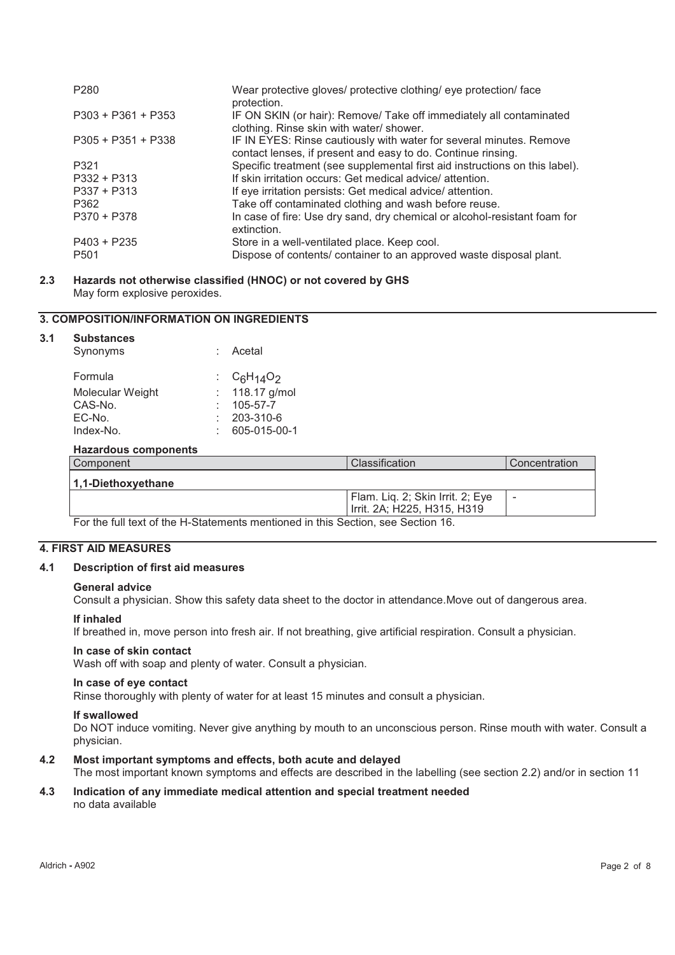| P <sub>280</sub>     | Wear protective gloves/ protective clothing/ eye protection/ face<br>protection.                                                    |
|----------------------|-------------------------------------------------------------------------------------------------------------------------------------|
| $P303 + P361 + P353$ | IF ON SKIN (or hair): Remove/ Take off immediately all contaminated<br>clothing. Rinse skin with water/ shower.                     |
| $P305 + P351 + P338$ | IF IN EYES: Rinse cautiously with water for several minutes. Remove<br>contact lenses, if present and easy to do. Continue rinsing. |
| P321                 | Specific treatment (see supplemental first aid instructions on this label).                                                         |
| P332 + P313          | If skin irritation occurs: Get medical advice/attention.                                                                            |
| $P337 + P313$        | If eye irritation persists: Get medical advice/attention.                                                                           |
| P362                 | Take off contaminated clothing and wash before reuse.                                                                               |
| $P370 + P378$        | In case of fire: Use dry sand, dry chemical or alcohol-resistant foam for<br>extinction.                                            |
| $P403 + P235$        | Store in a well-ventilated place. Keep cool.                                                                                        |
| P <sub>501</sub>     | Dispose of contents/ container to an approved waste disposal plant.                                                                 |

### **2.3 Hazards not otherwise classified (HNOC) or not covered by GHS**  May form explosive peroxides.

# **3. COMPOSITION/INFORMATION ON INGREDIENTS**

### **3.1 Substances**

| Synonyms                                                                                                       | : Acetal         |
|----------------------------------------------------------------------------------------------------------------|------------------|
| Formula                                                                                                        | $C_6H_{14}O_2$   |
| Molecular Weight                                                                                               | : $118.17$ g/mol |
| CAS-No.                                                                                                        | 105-57-7         |
| EC-No.                                                                                                         | 203-310-6        |
| Index-No.                                                                                                      | 605-015-00-1     |
| the computer of the computer of the control of the control of the control of the control of the control of the |                  |

#### **Hazardous components**

| Component                                                                                                                     | Classification                   | Concentration |
|-------------------------------------------------------------------------------------------------------------------------------|----------------------------------|---------------|
| 1,1-Diethoxyethane                                                                                                            |                                  |               |
|                                                                                                                               | Flam. Liq. 2; Skin Irrit. 2; Eye | -             |
|                                                                                                                               | Irrit. 2A; H225, H315, H319      |               |
| $\Box$ and a failure of the HI Otetal contract the distribution of the field $\Box$ $\Box$ $\Box$ $\Box$ $\Box$ $\Box$ $\Box$ |                                  |               |

For the full text of the H-Statements mentioned in this Section, see Section 16.

# **4. FIRST AID MEASURES**

### **4.1 Description of first aid measures**

### **General advice**

Consult a physician. Show this safety data sheet to the doctor in attendance.Move out of dangerous area.

### **If inhaled**

If breathed in, move person into fresh air. If not breathing, give artificial respiration. Consult a physician.

### **In case of skin contact**

Wash off with soap and plenty of water. Consult a physician.

### **In case of eye contact**

Rinse thoroughly with plenty of water for at least 15 minutes and consult a physician.

### **If swallowed**

Do NOT induce vomiting. Never give anything by mouth to an unconscious person. Rinse mouth with water. Consult a physician.

### **4.2 Most important symptoms and effects, both acute and delayed**

The most important known symptoms and effects are described in the labelling (see section 2.2) and/or in section 11

### **4.3 Indication of any immediate medical attention and special treatment needed**  no data available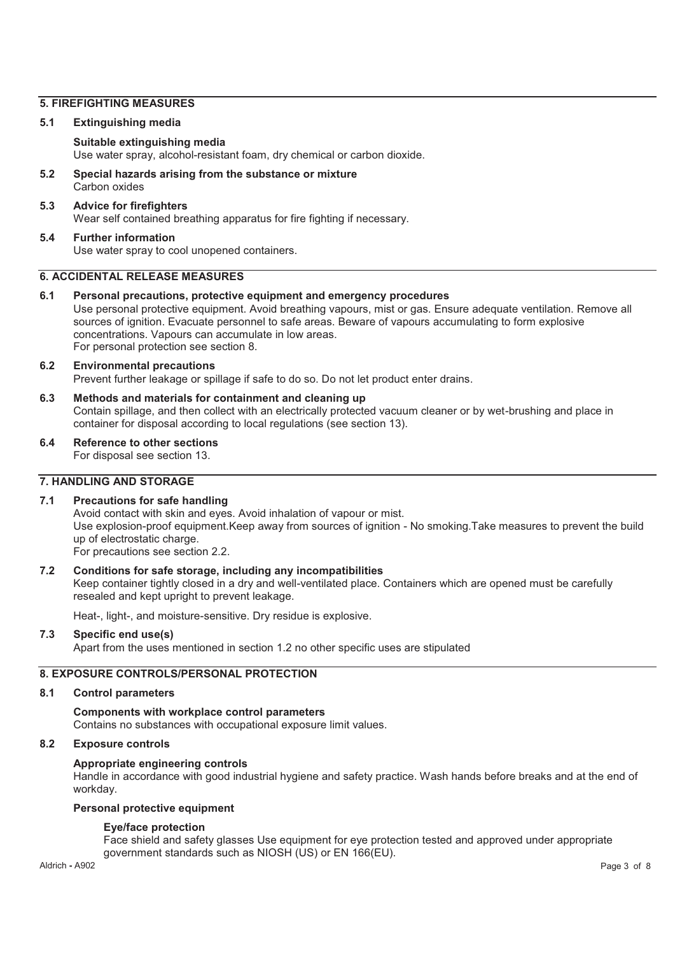# **5. FIREFIGHTING MEASURES**

### **5.1 Extinguishing media**

# **Suitable extinguishing media**

Use water spray, alcohol-resistant foam, dry chemical or carbon dioxide.

**5.2 Special hazards arising from the substance or mixture**  Carbon oxides

## **5.3 Advice for firefighters**  Wear self contained breathing apparatus for fire fighting if necessary.

### **5.4 Further information**  Use water spray to cool unopened containers.

# **6. ACCIDENTAL RELEASE MEASURES**

**6.1 Personal precautions, protective equipment and emergency procedures**  Use personal protective equipment. Avoid breathing vapours, mist or gas. Ensure adequate ventilation. Remove all sources of ignition. Evacuate personnel to safe areas. Beware of vapours accumulating to form explosive concentrations. Vapours can accumulate in low areas. For personal protection see section 8.

### **6.2 Environmental precautions**

Prevent further leakage or spillage if safe to do so. Do not let product enter drains.

- **6.3 Methods and materials for containment and cleaning up**  Contain spillage, and then collect with an electrically protected vacuum cleaner or by wet-brushing and place in container for disposal according to local regulations (see section 13).
- **6.4 Reference to other sections**

For disposal see section 13.

# **7. HANDLING AND STORAGE**

### **7.1 Precautions for safe handling**

Avoid contact with skin and eyes. Avoid inhalation of vapour or mist. Use explosion-proof equipment.Keep away from sources of ignition - No smoking.Take measures to prevent the build up of electrostatic charge. For precautions see section 2.2.

### **7.2 Conditions for safe storage, including any incompatibilities**

Keep container tightly closed in a dry and well-ventilated place. Containers which are opened must be carefully resealed and kept upright to prevent leakage.

Heat-, light-, and moisture-sensitive. Dry residue is explosive.

### **7.3 Specific end use(s)**

Apart from the uses mentioned in section 1.2 no other specific uses are stipulated

### **8. EXPOSURE CONTROLS/PERSONAL PROTECTION**

### **8.1 Control parameters**

**Components with workplace control parameters**  Contains no substances with occupational exposure limit values.

### **8.2 Exposure controls**

### **Appropriate engineering controls**

Handle in accordance with good industrial hygiene and safety practice. Wash hands before breaks and at the end of workday.

### **Personal protective equipment**

### **Eye/face protection**

Face shield and safety glasses Use equipment for eye protection tested and approved under appropriate government standards such as NIOSH (US) or EN 166(EU).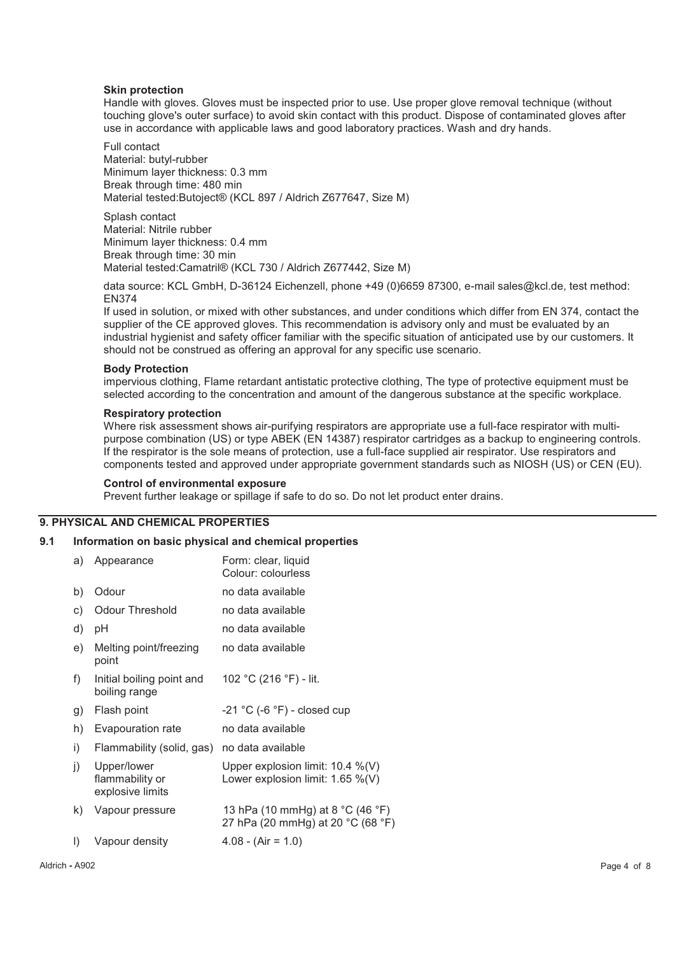### **Skin protection**

Handle with gloves. Gloves must be inspected prior to use. Use proper glove removal technique (without touching glove's outer surface) to avoid skin contact with this product. Dispose of contaminated gloves after use in accordance with applicable laws and good laboratory practices. Wash and dry hands.

Full contact Material: butyl-rubber Minimum layer thickness: 0.3 mm Break through time: 480 min Material tested:Butoject® (KCL 897 / Aldrich Z677647, Size M)

Splash contact Material: Nitrile rubber Minimum layer thickness: 0.4 mm Break through time: 30 min Material tested:Camatril® (KCL 730 / Aldrich Z677442, Size M)

data source: KCL GmbH, D-36124 Eichenzell, phone +49 (0)6659 87300, e-mail sales@kcl.de, test method: EN374

If used in solution, or mixed with other substances, and under conditions which differ from EN 374, contact the supplier of the CE approved gloves. This recommendation is advisory only and must be evaluated by an industrial hygienist and safety officer familiar with the specific situation of anticipated use by our customers. It should not be construed as offering an approval for any specific use scenario.

### **Body Protection**

impervious clothing, Flame retardant antistatic protective clothing, The type of protective equipment must be selected according to the concentration and amount of the dangerous substance at the specific workplace.

### **Respiratory protection**

Where risk assessment shows air-purifying respirators are appropriate use a full-face respirator with multipurpose combination (US) or type ABEK (EN 14387) respirator cartridges as a backup to engineering controls. If the respirator is the sole means of protection, use a full-face supplied air respirator. Use respirators and components tested and approved under appropriate government standards such as NIOSH (US) or CEN (EU).

### **Control of environmental exposure**

Prevent further leakage or spillage if safe to do so. Do not let product enter drains.

# **9. PHYSICAL AND CHEMICAL PROPERTIES**

# **9.1 Information on basic physical and chemical properties**

| a)           | Appearance                                         | Form: clear, liquid<br>Colour: colourless                                  |
|--------------|----------------------------------------------------|----------------------------------------------------------------------------|
| b)           | Odour                                              | no data available                                                          |
| c)           | <b>Odour Threshold</b>                             | no data available                                                          |
| d)           | рH                                                 | no data available                                                          |
| e)           | Melting point/freezing<br>point                    | no data available                                                          |
| f)           | Initial boiling point and<br>boiling range         | 102 °C (216 °F) - lit.                                                     |
| g)           | Flash point                                        | $-21$ °C (-6 °F) - closed cup                                              |
| h)           | Evapouration rate                                  | no data available                                                          |
| i)           | Flammability (solid, gas)                          | no data available                                                          |
| j)           | Upper/lower<br>flammability or<br>explosive limits | Upper explosion limit: $10.4\%$ (V)<br>Lower explosion limit: $1.65\%$ (V) |
| k)           | Vapour pressure                                    | 13 hPa (10 mmHg) at 8 °C (46 °F)<br>27 hPa (20 mmHg) at 20 °C (68 °F)      |
| $\mathsf{I}$ | Vapour density                                     | $4.08 - (Air = 1.0)$                                                       |
|              |                                                    |                                                                            |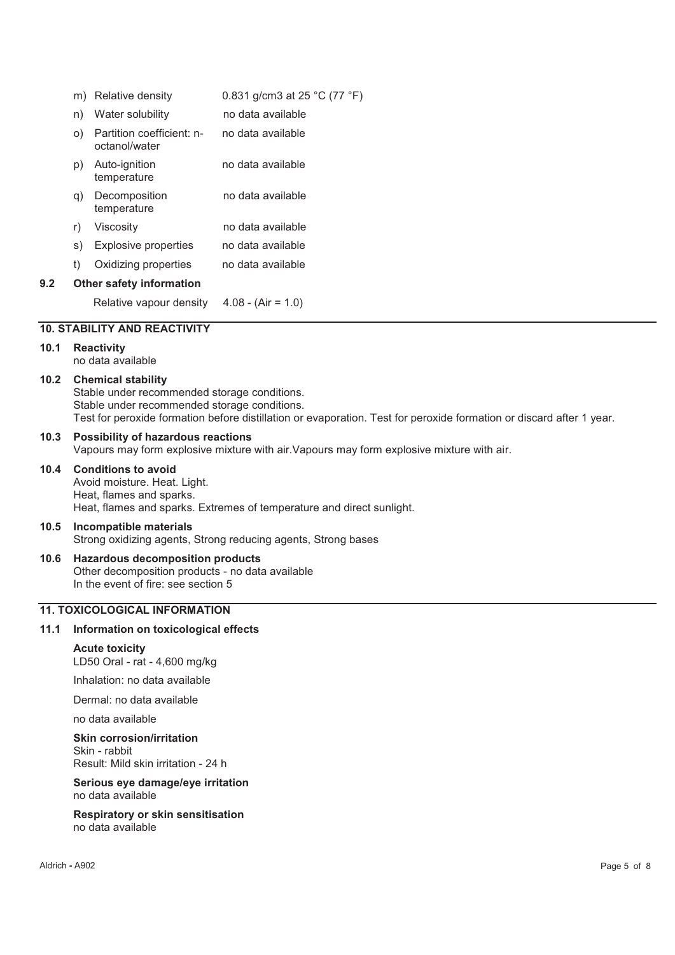|     | m) | Relative density                           | 0.831 g/cm3 at 25 °C (77 °F) |
|-----|----|--------------------------------------------|------------------------------|
|     | n) | Water solubility                           | no data available            |
|     | O) | Partition coefficient: n-<br>octanol/water | no data available            |
|     | p) | Auto-ignition<br>temperature               | no data available            |
|     | q) | Decomposition<br>temperature               | no data available            |
|     | r) | Viscosity                                  | no data available            |
|     | s) | Explosive properties                       | no data available            |
|     | t) | Oxidizing properties                       | no data available            |
| 9.2 |    | <b>Other safety information</b>            |                              |
|     |    | Relative vapour density                    | $4.08 - (Air = 1.0)$         |
|     |    | <b>10. STABILITY AND REACTIVITY</b>        |                              |

# **10.1 Reactivity**

no data available

### **10.2 Chemical stability**

Stable under recommended storage conditions. Stable under recommended storage conditions. Test for peroxide formation before distillation or evaporation. Test for peroxide formation or discard after 1 year.

# **10.3 Possibility of hazardous reactions**

Vapours may form explosive mixture with air.Vapours may form explosive mixture with air.

# **10.4 Conditions to avoid**

Avoid moisture. Heat. Light. Heat, flames and sparks. Heat, flames and sparks. Extremes of temperature and direct sunlight.

### **10.5 Incompatible materials**

Strong oxidizing agents, Strong reducing agents, Strong bases

# **10.6 Hazardous decomposition products**

Other decomposition products - no data available In the event of fire: see section 5

# **11. TOXICOLOGICAL INFORMATION**

#### **11.1 Information on toxicological effects**

**Acute toxicity**  LD50 Oral - rat - 4,600 mg/kg

Inhalation: no data available

Dermal: no data available

no data available

### **Skin corrosion/irritation**

Skin - rabbit Result: Mild skin irritation - 24 h

#### **Serious eye damage/eye irritation**  no data available

#### **Respiratory or skin sensitisation**  no data available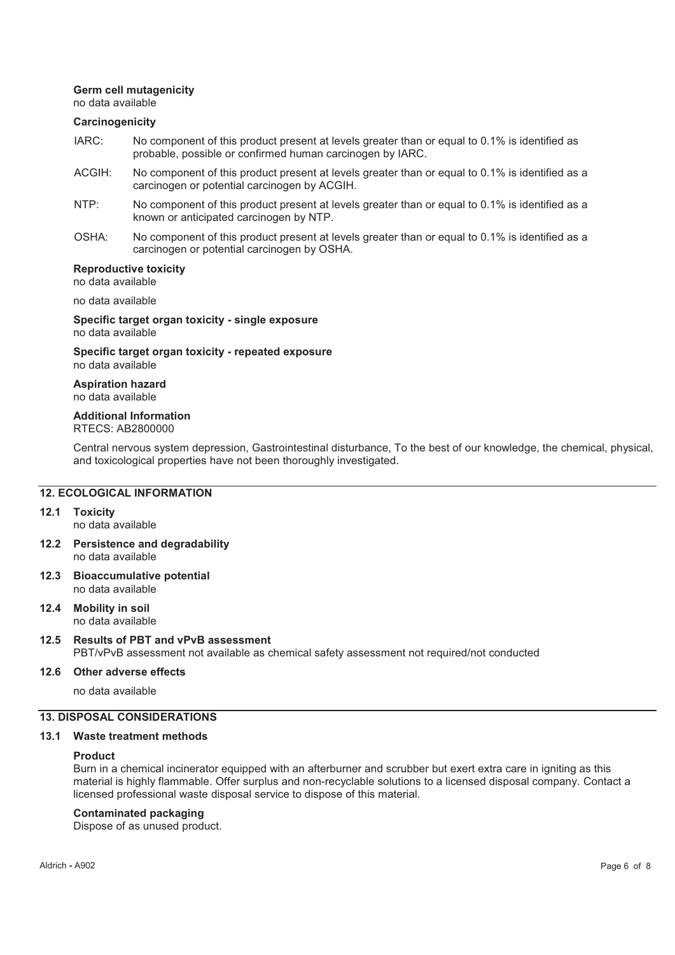### **Germ cell mutagenicity**

no data available

### **Carcinogenicity**

- IARC: No component of this product present at levels greater than or equal to 0.1% is identified as probable, possible or confirmed human carcinogen by IARC.
- ACGIH: No component of this product present at levels greater than or equal to 0.1% is identified as a carcinogen or potential carcinogen by ACGIH.
- NTP: No component of this product present at levels greater than or equal to 0.1% is identified as a known or anticipated carcinogen by NTP.
- OSHA: No component of this product present at levels greater than or equal to 0.1% is identified as a carcinogen or potential carcinogen by OSHA.

# **Reproductive toxicity**

no data available

no data available

**Specific target organ toxicity - single exposure**  no data available

### **Specific target organ toxicity - repeated exposure**  no data available

**Aspiration hazard**  no data available

### **Additional Information**  RTECS: AB2800000

Central nervous system depression, Gastrointestinal disturbance, To the best of our knowledge, the chemical, physical, and toxicological properties have not been thoroughly investigated.

# **12. ECOLOGICAL INFORMATION**

**12.1 Toxicity**  no data available

- **12.2 Persistence and degradability**  no data available
- **12.3 Bioaccumulative potential**  no data available
- **12.4 Mobility in soil**  no data available

# **12.5 Results of PBT and vPvB assessment**

PBT/vPvB assessment not available as chemical safety assessment not required/not conducted

### **12.6 Other adverse effects**

no data available

# **13. DISPOSAL CONSIDERATIONS**

### **13.1 Waste treatment methods**

### **Product**

Burn in a chemical incinerator equipped with an afterburner and scrubber but exert extra care in igniting as this material is highly flammable. Offer surplus and non-recyclable solutions to a licensed disposal company. Contact a licensed professional waste disposal service to dispose of this material.

### **Contaminated packaging**

Dispose of as unused product.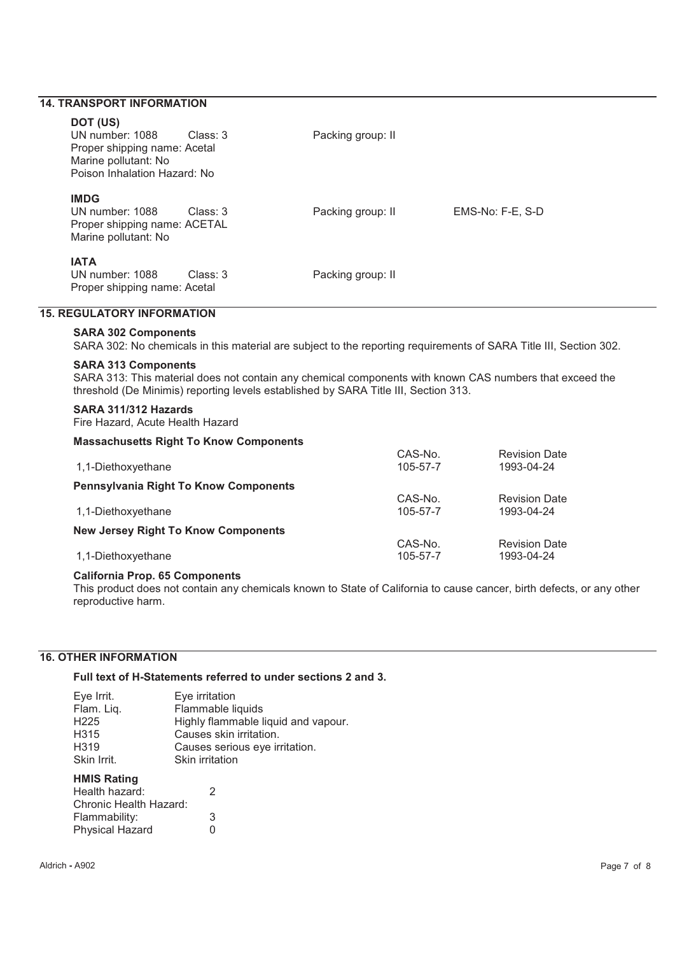# **14. TRANSPORT INFORMATION**

# **DOT (US)**

| וטטו וטע<br>UN number: 1088<br>Proper shipping name: Acetal<br>Marine pollutant: No<br>Poison Inhalation Hazard: No | Class: 3 | Packing group: II |                  |
|---------------------------------------------------------------------------------------------------------------------|----------|-------------------|------------------|
| <b>IMDG</b><br>UN number: 1088<br>Proper shipping name: ACETAL<br>Marine pollutant: No                              | Class: 3 | Packing group: II | EMS-No: F-E, S-D |
| <b>IATA</b><br>UN number: 1088<br>Proper shipping name: Acetal                                                      | Class: 3 | Packing group: II |                  |
| <b>15. REGULATORY INFORMATION</b>                                                                                   |          |                   |                  |

# **SARA 302 Components**

SARA 302: No chemicals in this material are subject to the reporting requirements of SARA Title III, Section 302.

### **SARA 313 Components**

SARA 313: This material does not contain any chemical components with known CAS numbers that exceed the threshold (De Minimis) reporting levels established by SARA Title III, Section 313.

### **SARA 311/312 Hazards**

Fire Hazard, Acute Health Hazard

### **Massachusetts Right To Know Components**

| $1.11$ . The strategies of $\sim$ $1.11$ , $\sim$ $1.11$ , $\sim$ $1.11$ , $\sim$ $1.11$ , $\sim$ |          |                      |
|---------------------------------------------------------------------------------------------------|----------|----------------------|
|                                                                                                   | CAS-No.  | <b>Revision Date</b> |
| 1,1-Diethoxyethane                                                                                | 105-57-7 | 1993-04-24           |
| <b>Pennsylvania Right To Know Components</b>                                                      |          |                      |
|                                                                                                   | CAS-No.  | <b>Revision Date</b> |
| 1,1-Diethoxyethane                                                                                | 105-57-7 | 1993-04-24           |
| <b>New Jersey Right To Know Components</b>                                                        |          |                      |
|                                                                                                   | CAS-No.  | <b>Revision Date</b> |
| 1,1-Diethoxyethane                                                                                | 105-57-7 | 1993-04-24           |
|                                                                                                   |          |                      |

### **California Prop. 65 Components**

This product does not contain any chemicals known to State of California to cause cancer, birth defects, or any other reproductive harm.

# **16. OTHER INFORMATION**

**Full text of H-Statements referred to under sections 2 and 3.** 

| Eye Irrit.        | Eye irritation                      |
|-------------------|-------------------------------------|
| Flam. Liq.        | Flammable liquids                   |
| H <sub>225</sub>  | Highly flammable liquid and vapour. |
| H <sub>3</sub> 15 | Causes skin irritation.             |
| H319              | Causes serious eye irritation.      |
| Skin Irrit.       | Skin irritation                     |

# **HMIS Rating**

| Health hazard:         | -2 |
|------------------------|----|
| Chronic Health Hazard: |    |
| Flammability:          | 3  |
| Physical Hazard        | O  |